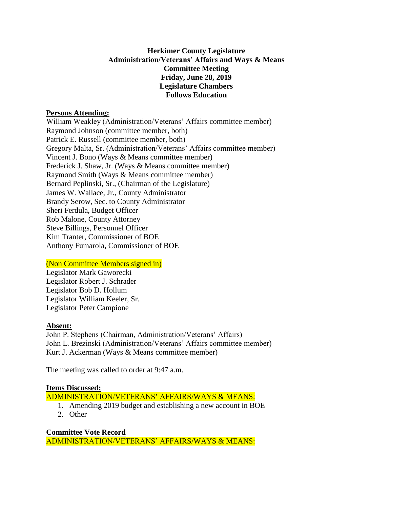# **Herkimer County Legislature Administration/Veterans' Affairs and Ways & Means Committee Meeting Friday, June 28, 2019 Legislature Chambers Follows Education**

#### **Persons Attending:**

William Weakley (Administration/Veterans' Affairs committee member) Raymond Johnson (committee member, both) Patrick E. Russell (committee member, both) Gregory Malta, Sr. (Administration/Veterans' Affairs committee member) Vincent J. Bono (Ways & Means committee member) Frederick J. Shaw, Jr. (Ways & Means committee member) Raymond Smith (Ways & Means committee member) Bernard Peplinski, Sr., (Chairman of the Legislature) James W. Wallace, Jr., County Administrator Brandy Serow, Sec. to County Administrator Sheri Ferdula, Budget Officer Rob Malone, County Attorney Steve Billings, Personnel Officer Kim Tranter, Commissioner of BOE Anthony Fumarola, Commissioner of BOE

# (Non Committee Members signed in)

Legislator Mark Gaworecki Legislator Robert J. Schrader Legislator Bob D. Hollum Legislator William Keeler, Sr. Legislator Peter Campione

# **Absent:**

John P. Stephens (Chairman, Administration/Veterans' Affairs) John L. Brezinski (Administration/Veterans' Affairs committee member) Kurt J. Ackerman (Ways & Means committee member)

The meeting was called to order at 9:47 a.m.

#### **Items Discussed:**

ADMINISTRATION/VETERANS' AFFAIRS/WAYS & MEANS:

- 1. Amending 2019 budget and establishing a new account in BOE
- 2. Other

**Committee Vote Record** ADMINISTRATION/VETERANS' AFFAIRS/WAYS & MEANS: